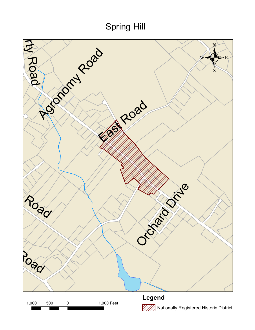## Spring Hill

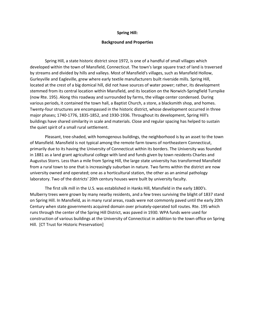## **Spring Hill:**

## **Background and Properties**

Spring Hill, a state historic district since 1972, is one of a handful of small villages which developed within the town of Mansfield, Connecticut. The town's large square tract of land is traversed by streams and divided by hills and valleys. Most of Mansfield's villages, such as Mansfield Hollow, Gurleyville and Eagleville, grew where early textile manufacturers built riverside mills. Spring Hill, located at the crest of a big domical hill, did not have sources of water power; rather, its development stemmed from its central location within Mansfield, and its location on the Norwich-Springfield Turnpike (now Rte. 195). Along this roadway and surrounded by farms, the village center condensed. During various periods, it contained the town hall, a Baptist Church, a store, a blacksmith shop, and homes. Twenty-four structures are encompassed in the historic district, whose development occurred in three major phases; 1740-1776, 1835-1852, and 1930-1936. Throughout its development, Spring Hill's buildings have shared similarity in scale and materials. Close and regular spacing has helped to sustain the quiet spirit of a small rural settlement.

Pleasant, tree-shaded, with homogenous buildings, the neighborhood is by an asset to the town of Mansfield. Mansfield is not typical among the remote farm towns of northeastern Connecticut, primarily due to its having the University of Connecticut within its borders. The University was founded in 1881 as a land grant agricultural college with land and funds given by town residents Charles and Augustus Storrs. Less than a mile from Spring Hill, the large state university has transformed Mansfield from a rural town to one that is increasingly suburban in nature. Two farms within the district are now university owned and operated; one as a horticultural station, the other as an animal pathology laboratory. Two of the districts' 20th century houses were built by university faculty.

The first silk mill in the U.S. was established in Hanks Hill, Mansfield in the early 1800's. Mulberry trees were grown by many nearby residents, and a few trees surviving the blight of 1837 stand on Spring Hill. In Mansfield, as in many rural areas, roads were not commonly paved until the early 20th Century when state governments acquired domain over privately-operated toll routes. Rte. 195 which runs through the center of the Spring Hill District, was paved in 1930. WPA funds were used for construction of various buildings at the University of Connecticut in addition to the town office on Spring Hill. [CT Trust for Historic Preservation]